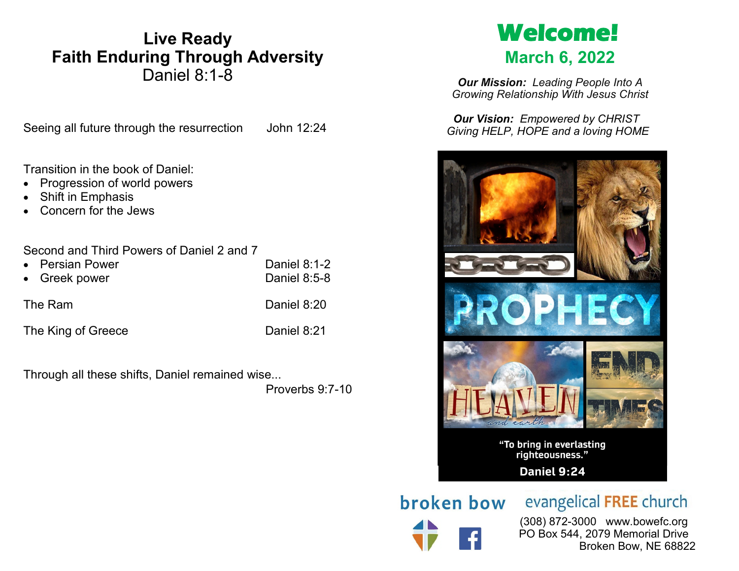# **Live Ready Faith Enduring Through Adversity** Daniel 8:1-8

Seeing all future through the resurrection John 12:24

Transition in the book of Daniel:

- Progression of world powers
- Shift in Emphasis
- Concern for the Jews

Second and Third Powers of Daniel 2 and 7

| • Persian Power    | Daniel 8:1-2 |
|--------------------|--------------|
| • Greek power      | Daniel 8:5-8 |
|                    |              |
| The Ram            | Daniel 8:20  |
|                    |              |
| The King of Greece | Daniel 8:21  |

Through all these shifts, Daniel remained wise...

Proverbs 9:7-10

# **Welcome! March 6, 2022**

*Our Mission: Leading People Into A Growing Relationship With Jesus Christ*

*Our Vision: Empowered by CHRIST Giving HELP, HOPE and a loving HOME*



broken bow

evangelical FREE church

 (308) 872-3000 www.bowefc.org PO Box 544, 2079 Memorial Drive Broken Bow, NE 68822